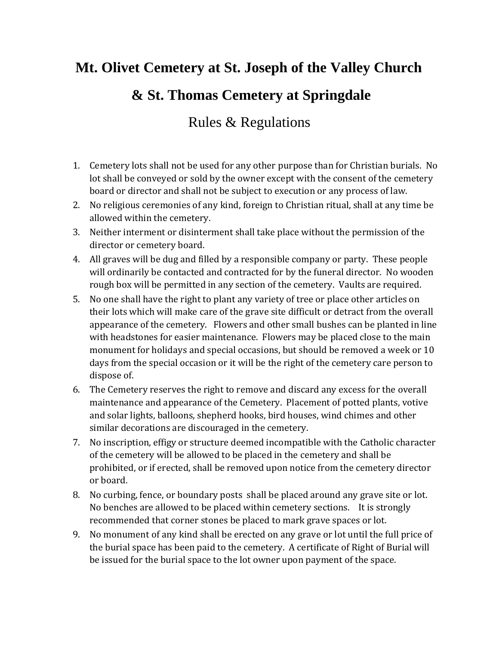## **Mt. Olivet Cemetery at St. Joseph of the Valley Church & St. Thomas Cemetery at Springdale**

## Rules & Regulations

- 1. Cemetery lots shall not be used for any other purpose than for Christian burials. No lot shall be conveyed or sold by the owner except with the consent of the cemetery board or director and shall not be subject to execution or any process of law.
- 2. No religious ceremonies of any kind, foreign to Christian ritual, shall at any time be allowed within the cemetery.
- 3. Neither interment or disinterment shall take place without the permission of the director or cemetery board.
- 4. All graves will be dug and filled by a responsible company or party. These people will ordinarily be contacted and contracted for by the funeral director. No wooden rough box will be permitted in any section of the cemetery. Vaults are required.
- 5. No one shall have the right to plant any variety of tree or place other articles on their lots which will make care of the grave site difficult or detract from the overall appearance of the cemetery. Flowers and other small bushes can be planted in line with headstones for easier maintenance. Flowers may be placed close to the main monument for holidays and special occasions, but should be removed a week or 10 days from the special occasion or it will be the right of the cemetery care person to dispose of.
- 6. The Cemetery reserves the right to remove and discard any excess for the overall maintenance and appearance of the Cemetery. Placement of potted plants, votive and solar lights, balloons, shepherd hooks, bird houses, wind chimes and other similar decorations are discouraged in the cemetery.
- 7. No inscription, effigy or structure deemed incompatible with the Catholic character of the cemetery will be allowed to be placed in the cemetery and shall be prohibited, or if erected, shall be removed upon notice from the cemetery director or board.
- 8. No curbing, fence, or boundary posts shall be placed around any grave site or lot. No benches are allowed to be placed within cemetery sections. It is strongly recommended that corner stones be placed to mark grave spaces or lot.
- 9. No monument of any kind shall be erected on any grave or lot until the full price of the burial space has been paid to the cemetery. A certificate of Right of Burial will be issued for the burial space to the lot owner upon payment of the space.